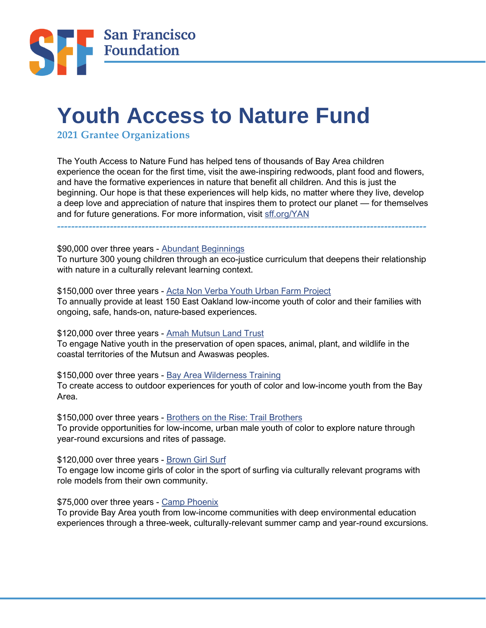

# **Youth Access to Nature Fund**

**2021 Grantee Organizations** 

The Youth Access to Nature Fund has helped tens of thousands of Bay Area children experience the ocean for the first time, visit the awe-inspiring redwoods, plant food and flowers, and have the formative experiences in nature that benefit all children. And this is just the beginning. Our hope is that these experiences will help kids, no matter where they live, develop a deep love and appreciation of nature that inspires them to protect our planet — for themselves and for future generations. For more information, visit [sff.org/YAN](https://sff.org/YAN)

**---------------------------------------------------------------------------------------------------------**

\$90,000 over three years - [Abundant Beginnings](http://abundantbeginnings.org/)

To nurture 300 young children through an eco-justice curriculum that deepens their relationship with nature in a culturally relevant learning context.

\$150,000 over three years - [Acta Non Verba Youth Urban Farm Project](https://anvfarm.org/) To annually provide at least 150 East Oakland low-income youth of color and their families with ongoing, safe, hands-on, nature-based experiences.

\$120,000 over three years - [Amah Mutsun Land Trust](https://www.amahmutsunlandtrust.org/native-youth-stewardship-camp)

To engage Native youth in the preservation of open spaces, animal, plant, and wildlife in the coastal territories of the Mutsun and Awaswas peoples.

\$150,000 over three years - [Bay Area Wilderness Training](http://www.bawt.org/) To create access to outdoor experiences for youth of color and low-income youth from the Bay Area.

\$150,000 over three years - [Brothers on the Rise: Trail Brothers](http://brothersontherise.org/direct-services/) To provide opportunities for low-income, urban male youth of color to explore nature through year-round excursions and rites of passage.

\$120,000 over three years - [Brown Girl Surf](https://www.browngirlsurf.com/)

To engage low income girls of color in the sport of surfing via culturally relevant programs with role models from their own community.

# \$75,000 over three years - [Camp Phoenix](https://www.campphoenix.org/)

To provide Bay Area youth from low-income communities with deep environmental education experiences through a three-week, culturally-relevant summer camp and year-round excursions.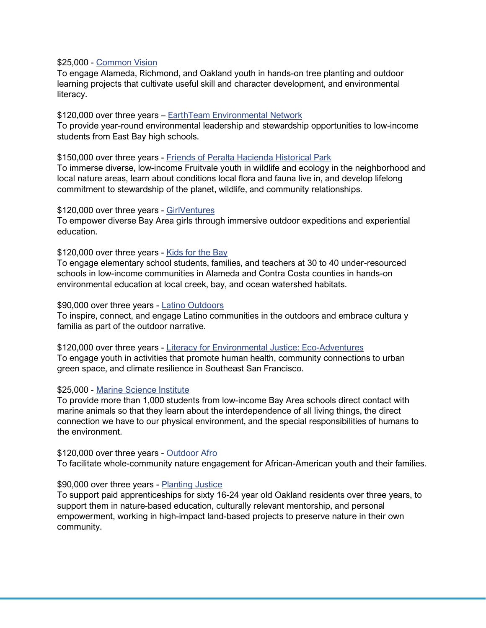#### \$25,000 - [Common Vision](https://www.commonvision.org/)

To engage Alameda, Richmond, and Oakland youth in hands-on tree planting and outdoor learning projects that cultivate useful skill and character development, and environmental literacy.

### \$120,000 over three years – EarthTeam [Environmental Network](https://www.earthteam.net/)

To provide year-round environmental leadership and stewardship opportunities to low-income students from East Bay high schools.

#### \$150,000 over three years - [Friends of Peralta Hacienda Historical Park](http://www.peraltahacienda.org/)

To immerse diverse, low-income Fruitvale youth in wildlife and ecology in the neighborhood and local nature areas, learn about conditions local flora and fauna live in, and develop lifelong commitment to stewardship of the planet, wildlife, and community relationships.

## \$120,000 over three years - [GirlVentures](https://www.girlventures.org/)

To empower diverse Bay Area girls through immersive outdoor expeditions and experiential education.

## \$120,000 over three years - [Kids for the Bay](http://kidsforthebay.org/)

To engage elementary school students, families, and teachers at 30 to 40 under-resourced schools in low-income communities in Alameda and Contra Costa counties in hands-on environmental education at local creek, bay, and ocean watershed habitats.

#### \$90,000 over three years - [Latino Outdoors](http://latinooutdoors.org/)

To inspire, connect, and engage Latino communities in the outdoors and embrace cultura y familia as part of the outdoor narrative.

\$120,000 over three years - [Literacy for Environmental Justice: Eco-Adventures](http://www.lejyouth.org/) To engage youth in activities that promote human health, community connections to urban green space, and climate resilience in Southeast San Francisco.

### \$25,000 - [Marine Science Institute](https://www.sfbaymsi.org/)

To provide more than 1,000 students from low-income Bay Area schools direct contact with marine animals so that they learn about the interdependence of all living things, the direct connection we have to our physical environment, and the special responsibilities of humans to the environment.

#### \$120,000 over three years - [Outdoor Afro](http://outdoorafro.com/)

To facilitate whole-community nature engagement for African-American youth and their families.

### \$90,000 over three years - [Planting Justice](http://plantingjustice.org/)

To support paid apprenticeships for sixty 16-24 year old Oakland residents over three years, to support them in nature-based education, culturally relevant mentorship, and personal empowerment, working in high-impact land-based projects to preserve nature in their own community.